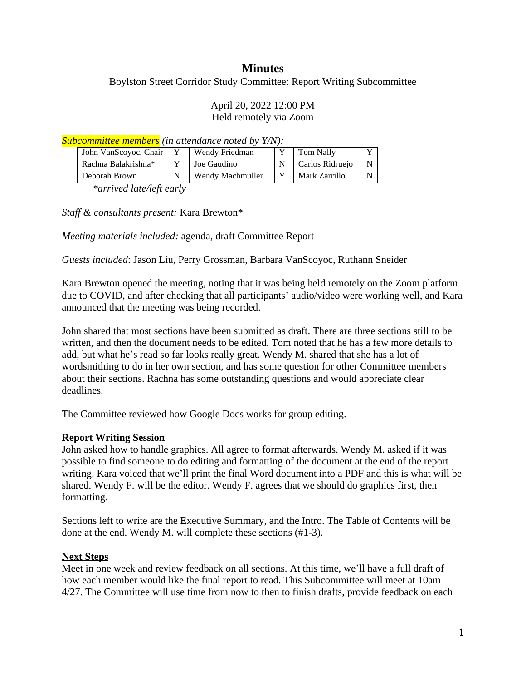# **Minutes**

Boylston Street Corridor Study Committee: Report Writing Subcommittee

#### April 20, 2022 12:00 PM Held remotely via Zoom

*Subcommittee members (in attendance noted by Y/N):*

| John VanScoyoc, Chair | Wendy Friedman   | Tom Nally       |   |
|-----------------------|------------------|-----------------|---|
| Rachna Balakrishna*   | Joe Gaudino      | Carlos Ridruejo | N |
| Deborah Brown         | Wendy Machmuller | Mark Zarrillo   |   |

*\*arrived late/left early*

*Staff & consultants present:* Kara Brewton\*

*Meeting materials included:* agenda, draft Committee Report

*Guests included*: Jason Liu, Perry Grossman, Barbara VanScoyoc, Ruthann Sneider

Kara Brewton opened the meeting, noting that it was being held remotely on the Zoom platform due to COVID, and after checking that all participants' audio/video were working well, and Kara announced that the meeting was being recorded.

John shared that most sections have been submitted as draft. There are three sections still to be written, and then the document needs to be edited. Tom noted that he has a few more details to add, but what he's read so far looks really great. Wendy M. shared that she has a lot of wordsmithing to do in her own section, and has some question for other Committee members about their sections. Rachna has some outstanding questions and would appreciate clear deadlines.

The Committee reviewed how Google Docs works for group editing.

### **Report Writing Session**

John asked how to handle graphics. All agree to format afterwards. Wendy M. asked if it was possible to find someone to do editing and formatting of the document at the end of the report writing. Kara voiced that we'll print the final Word document into a PDF and this is what will be shared. Wendy F. will be the editor. Wendy F. agrees that we should do graphics first, then formatting.

Sections left to write are the Executive Summary, and the Intro. The Table of Contents will be done at the end. Wendy M. will complete these sections (#1-3).

#### **Next Steps**

Meet in one week and review feedback on all sections. At this time, we'll have a full draft of how each member would like the final report to read. This Subcommittee will meet at 10am 4/27. The Committee will use time from now to then to finish drafts, provide feedback on each